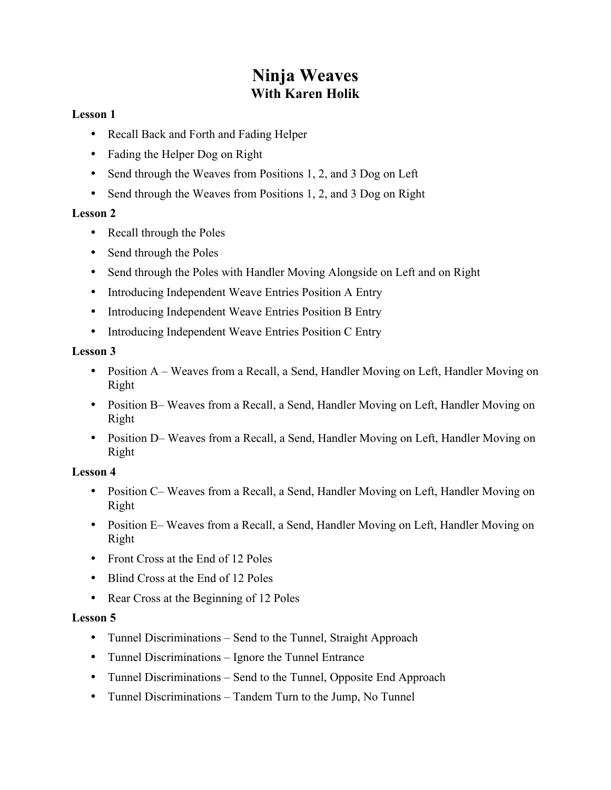# **Ninja Weaves With Karen Holik**

### **Lesson 1**

- Recall Back and Forth and Fading Helper
- Fading the Helper Dog on Right
- Send through the Weaves from Positions 1, 2, and 3 Dog on Left
- Send through the Weaves from Positions 1, 2, and 3 Dog on Right

## **Lesson 2**

- Recall through the Poles
- Send through the Poles
- Send through the Poles with Handler Moving Alongside on Left and on Right
- Introducing Independent Weave Entries Position A Entry
- Introducing Independent Weave Entries Position B Entry
- Introducing Independent Weave Entries Position C Entry

# **Lesson 3**

- Position A Weaves from a Recall, a Send, Handler Moving on Left, Handler Moving on Right
- Position B– Weaves from a Recall, a Send, Handler Moving on Left, Handler Moving on Right
- Position D– Weaves from a Recall, a Send, Handler Moving on Left, Handler Moving on Right

# **Lesson 4**

- Position C– Weaves from a Recall, a Send, Handler Moving on Left, Handler Moving on Right
- Position E– Weaves from a Recall, a Send, Handler Moving on Left, Handler Moving on Right
- Front Cross at the End of 12 Poles
- Blind Cross at the End of 12 Poles
- Rear Cross at the Beginning of 12 Poles

# **Lesson 5**

- Tunnel Discriminations Send to the Tunnel, Straight Approach
- Tunnel Discriminations Ignore the Tunnel Entrance
- Tunnel Discriminations Send to the Tunnel, Opposite End Approach
- Tunnel Discriminations Tandem Turn to the Jump, No Tunnel